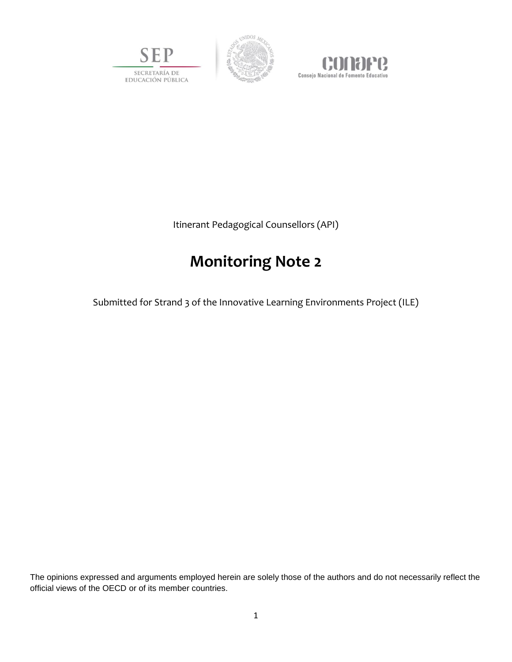





Itinerant Pedagogical Counsellors (API)

# **Monitoring Note 2**

Submitted for Strand 3 of the Innovative Learning Environments Project (ILE)

The opinions expressed and arguments employed herein are solely those of the authors and do not necessarily reflect the official views of the OECD or of its member countries.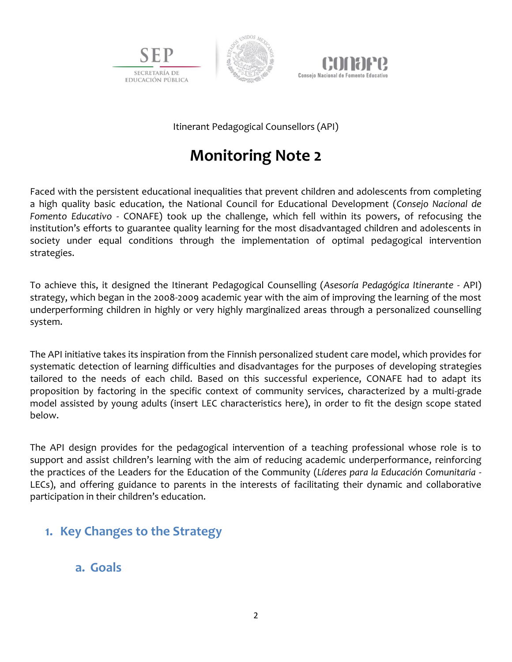





Itinerant Pedagogical Counsellors (API)

# **Monitoring Note 2**

Faced with the persistent educational inequalities that prevent children and adolescents from completing a high quality basic education, the National Council for Educational Development (*Consejo Nacional de Fomento Educativo* - CONAFE) took up the challenge, which fell within its powers, of refocusing the institution's efforts to guarantee quality learning for the most disadvantaged children and adolescents in society under equal conditions through the implementation of optimal pedagogical intervention strategies.

To achieve this, it designed the Itinerant Pedagogical Counselling (*Asesoría Pedagógica Itinerante* - API) strategy, which began in the 2008-2009 academic year with the aim of improving the learning of the most underperforming children in highly or very highly marginalized areas through a personalized counselling system.

The API initiative takes its inspiration from the Finnish personalized student care model, which provides for systematic detection of learning difficulties and disadvantages for the purposes of developing strategies tailored to the needs of each child. Based on this successful experience, CONAFE had to adapt its proposition by factoring in the specific context of community services, characterized by a multi-grade model assisted by young adults (insert LEC characteristics here), in order to fit the design scope stated below.

The API design provides for the pedagogical intervention of a teaching professional whose role is to support and assist children's learning with the aim of reducing academic underperformance, reinforcing the practices of the Leaders for the Education of the Community (*Líderes para la Educación Comunitaria* - LECs), and offering guidance to parents in the interests of facilitating their dynamic and collaborative participation in their children's education.

# **1. Key Changes to the Strategy**

### **a. Goals**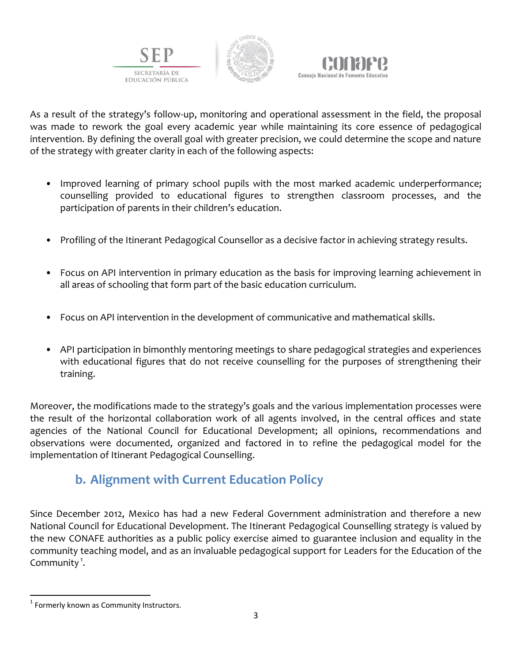





As a result of the strategy's follow-up, monitoring and operational assessment in the field, the proposal was made to rework the goal every academic year while maintaining its core essence of pedagogical intervention. By defining the overall goal with greater precision, we could determine the scope and nature of the strategy with greater clarity in each of the following aspects:

- Improved learning of primary school pupils with the most marked academic underperformance; counselling provided to educational figures to strengthen classroom processes, and the participation of parents in their children's education.
- Profiling of the Itinerant Pedagogical Counsellor as a decisive factor in achieving strategy results.
- Focus on API intervention in primary education as the basis for improving learning achievement in all areas of schooling that form part of the basic education curriculum.
- Focus on API intervention in the development of communicative and mathematical skills.
- API participation in bimonthly mentoring meetings to share pedagogical strategies and experiences with educational figures that do not receive counselling for the purposes of strengthening their training.

Moreover, the modifications made to the strategy's goals and the various implementation processes were the result of the horizontal collaboration work of all agents involved, in the central offices and state agencies of the National Council for Educational Development; all opinions, recommendations and observations were documented, organized and factored in to refine the pedagogical model for the implementation of Itinerant Pedagogical Counselling.

# **b. Alignment with Current Education Policy**

Since December 2012, Mexico has had a new Federal Government administration and therefore a new National Council for Educational Development. The Itinerant Pedagogical Counselling strategy is valued by the new CONAFE authorities as a public policy exercise aimed to guarantee inclusion and equality in the community teaching model, and as an invaluable pedagogical support for Leaders for the Education of the Community $<sup>1</sup>$ .</sup>

 $\overline{\phantom{a}}$ 

<sup>&</sup>lt;sup>1</sup> Formerly known as Community Instructors.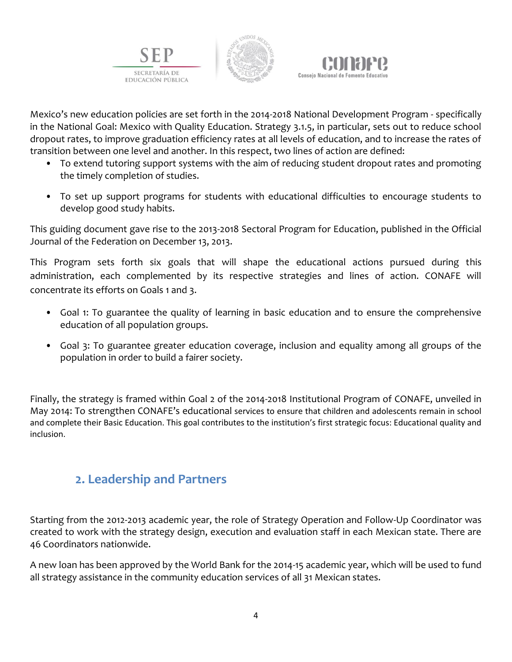





Mexico's new education policies are set forth in the 2014-2018 National Development Program - specifically in the National Goal: Mexico with Quality Education. Strategy 3.1.5, in particular, sets out to reduce school dropout rates, to improve graduation efficiency rates at all levels of education, and to increase the rates of transition between one level and another. In this respect, two lines of action are defined:

- To extend tutoring support systems with the aim of reducing student dropout rates and promoting the timely completion of studies.
- To set up support programs for students with educational difficulties to encourage students to develop good study habits.

This guiding document gave rise to the 2013-2018 Sectoral Program for Education, published in the Official Journal of the Federation on December 13, 2013.

This Program sets forth six goals that will shape the educational actions pursued during this administration, each complemented by its respective strategies and lines of action. CONAFE will concentrate its efforts on Goals 1 and 3.

- Goal 1: To guarantee the quality of learning in basic education and to ensure the comprehensive education of all population groups.
- Goal 3: To guarantee greater education coverage, inclusion and equality among all groups of the population in order to build a fairer society.

Finally, the strategy is framed within Goal 2 of the 2014-2018 Institutional Program of CONAFE, unveiled in May 2014: To strengthen CONAFE's educational services to ensure that children and adolescents remain in school and complete their Basic Education. This goal contributes to the institution's first strategic focus: Educational quality and inclusion.

### **2. Leadership and Partners**

Starting from the 2012-2013 academic year, the role of Strategy Operation and Follow-Up Coordinator was created to work with the strategy design, execution and evaluation staff in each Mexican state. There are 46 Coordinators nationwide.

A new loan has been approved by the World Bank for the 2014-15 academic year, which will be used to fund all strategy assistance in the community education services of all 31 Mexican states.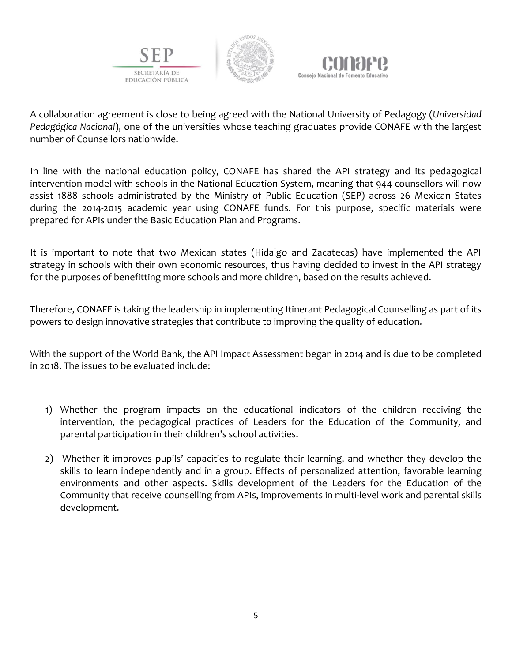





A collaboration agreement is close to being agreed with the National University of Pedagogy (*Universidad Pedagógica Nacional*), one of the universities whose teaching graduates provide CONAFE with the largest number of Counsellors nationwide.

In line with the national education policy, CONAFE has shared the API strategy and its pedagogical intervention model with schools in the National Education System, meaning that 944 counsellors will now assist 1888 schools administrated by the Ministry of Public Education (SEP) across 26 Mexican States during the 2014-2015 academic year using CONAFE funds. For this purpose, specific materials were prepared for APIs under the Basic Education Plan and Programs.

It is important to note that two Mexican states (Hidalgo and Zacatecas) have implemented the API strategy in schools with their own economic resources, thus having decided to invest in the API strategy for the purposes of benefitting more schools and more children, based on the results achieved.

Therefore, CONAFE is taking the leadership in implementing Itinerant Pedagogical Counselling as part of its powers to design innovative strategies that contribute to improving the quality of education.

With the support of the World Bank, the API Impact Assessment began in 2014 and is due to be completed in 2018. The issues to be evaluated include:

- 1) Whether the program impacts on the educational indicators of the children receiving the intervention, the pedagogical practices of Leaders for the Education of the Community, and parental participation in their children's school activities.
- 2) Whether it improves pupils' capacities to regulate their learning, and whether they develop the skills to learn independently and in a group. Effects of personalized attention, favorable learning environments and other aspects. Skills development of the Leaders for the Education of the Community that receive counselling from APIs, improvements in multi-level work and parental skills development.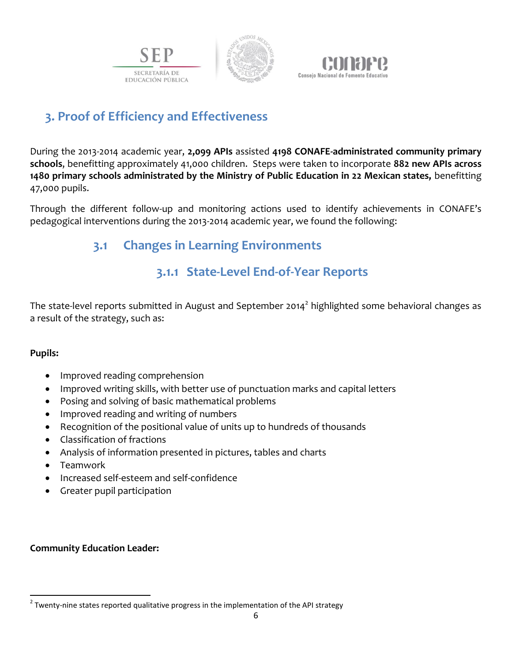





# **3. Proof of Efficiency and Effectiveness**

During the 2013-2014 academic year, **2,099 APIs** assisted **4198 CONAFE-administrated community primary schools**, benefitting approximately 41,000 children. Steps were taken to incorporate **882 new APIs across 1480 primary schools administrated by the Ministry of Public Education in 22 Mexican states,** benefitting 47,000 pupils.

Through the different follow-up and monitoring actions used to identify achievements in CONAFE's pedagogical interventions during the 2013-2014 academic year, we found the following:

### **3.1 Changes in Learning Environments**

# **3.1.1 State-Level End-of-Year Reports**

The state-level reports submitted in August and September 2014<sup>2</sup> highlighted some behavioral changes as a result of the strategy, such as:

### **Pupils:**

- Improved reading comprehension
- Improved writing skills, with better use of punctuation marks and capital letters
- Posing and solving of basic mathematical problems
- Improved reading and writing of numbers
- Recognition of the positional value of units up to hundreds of thousands
- Classification of fractions
- Analysis of information presented in pictures, tables and charts
- Teamwork
- Increased self-esteem and self-confidence
- Greater pupil participation

#### **Community Education Leader:**

 $\overline{\phantom{a}}$  $^{2}$  Twenty-nine states reported qualitative progress in the implementation of the API strategy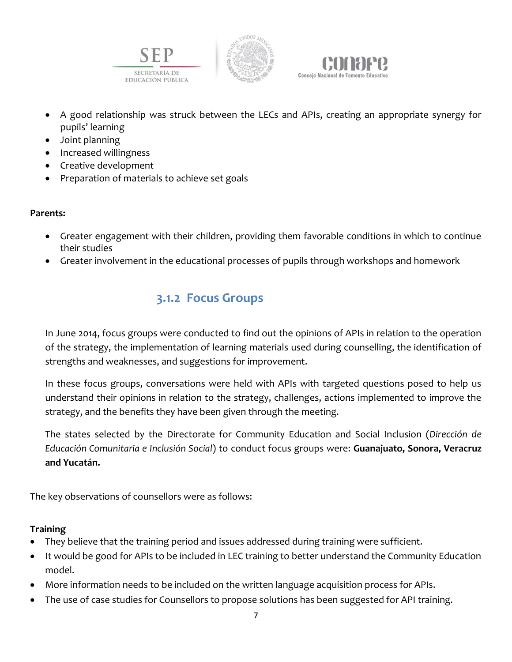





- A good relationship was struck between the LECs and APIs, creating an appropriate synergy for pupils' learning
- Joint planning
- Increased willingness
- Creative development
- Preparation of materials to achieve set goals

#### **Parents:**

- Greater engagement with their children, providing them favorable conditions in which to continue their studies
- Greater involvement in the educational processes of pupils through workshops and homework

### **3.1.2 Focus Groups**

In June 2014, focus groups were conducted to find out the opinions of APIs in relation to the operation of the strategy, the implementation of learning materials used during counselling, the identification of strengths and weaknesses, and suggestions for improvement.

In these focus groups, conversations were held with APIs with targeted questions posed to help us understand their opinions in relation to the strategy, challenges, actions implemented to improve the strategy, and the benefits they have been given through the meeting.

The states selected by the Directorate for Community Education and Social Inclusion (*Dirección de Educación Comunitaria e Inclusión Social*) to conduct focus groups were: **Guanajuato, Sonora, Veracruz and Yucatán.**

The key observations of counsellors were as follows:

### **Training**

- They believe that the training period and issues addressed during training were sufficient.
- It would be good for APIs to be included in LEC training to better understand the Community Education model.
- More information needs to be included on the written language acquisition process for APIs.
- The use of case studies for Counsellors to propose solutions has been suggested for API training.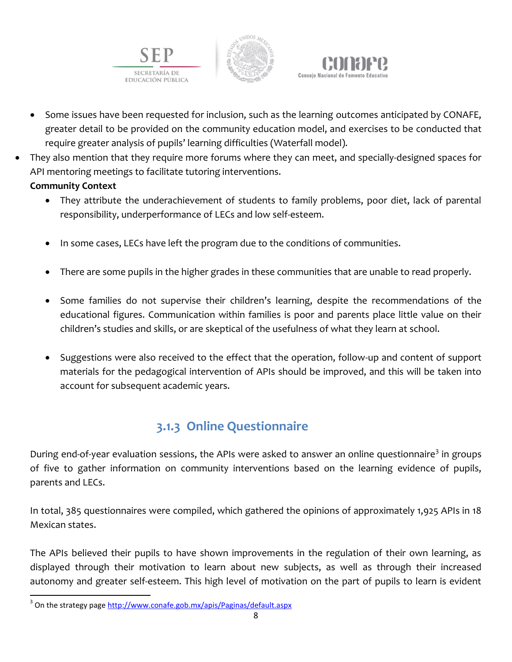





- Some issues have been requested for inclusion, such as the learning outcomes anticipated by CONAFE, greater detail to be provided on the community education model, and exercises to be conducted that require greater analysis of pupils' learning difficulties (Waterfall model).
- They also mention that they require more forums where they can meet, and specially-designed spaces for API mentoring meetings to facilitate tutoring interventions.

### **Community Context**

 $\overline{\phantom{a}}$ 

- They attribute the underachievement of students to family problems, poor diet, lack of parental responsibility, underperformance of LECs and low self-esteem.
- In some cases, LECs have left the program due to the conditions of communities.
- There are some pupils in the higher grades in these communities that are unable to read properly.
- Some families do not supervise their children's learning, despite the recommendations of the educational figures. Communication within families is poor and parents place little value on their children's studies and skills, or are skeptical of the usefulness of what they learn at school.
- Suggestions were also received to the effect that the operation, follow-up and content of support materials for the pedagogical intervention of APIs should be improved, and this will be taken into account for subsequent academic years.

# **3.1.3 Online Questionnaire**

During end-of-year evaluation sessions, the APIs were asked to answer an online questionnaire<sup>3</sup> in groups of five to gather information on community interventions based on the learning evidence of pupils, parents and LECs.

In total, 385 questionnaires were compiled, which gathered the opinions of approximately 1,925 APIs in 18 Mexican states.

The APIs believed their pupils to have shown improvements in the regulation of their own learning, as displayed through their motivation to learn about new subjects, as well as through their increased autonomy and greater self-esteem. This high level of motivation on the part of pupils to learn is evident

<sup>&</sup>lt;sup>3</sup> On the strategy page <u>http://www.conafe.gob.mx/apis/Paginas/default.aspx</u>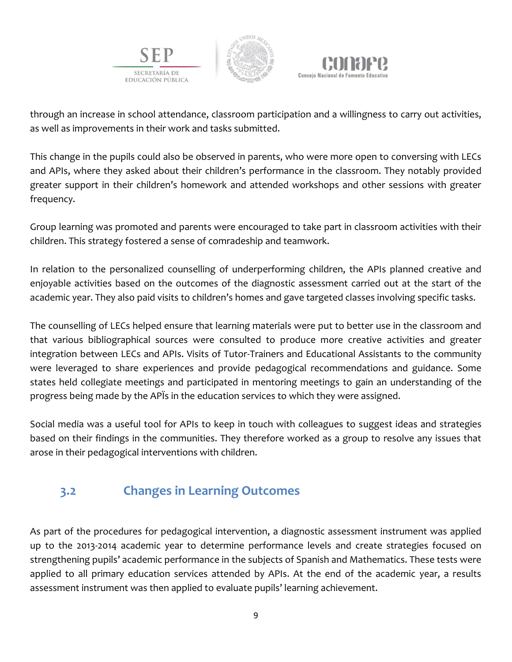





through an increase in school attendance, classroom participation and a willingness to carry out activities, as well as improvements in their work and tasks submitted.

This change in the pupils could also be observed in parents, who were more open to conversing with LECs and APIs, where they asked about their children's performance in the classroom. They notably provided greater support in their children's homework and attended workshops and other sessions with greater frequency.

Group learning was promoted and parents were encouraged to take part in classroom activities with their children. This strategy fostered a sense of comradeship and teamwork.

In relation to the personalized counselling of underperforming children, the APIs planned creative and enjoyable activities based on the outcomes of the diagnostic assessment carried out at the start of the academic year. They also paid visits to children's homes and gave targeted classes involving specific tasks.

The counselling of LECs helped ensure that learning materials were put to better use in the classroom and that various bibliographical sources were consulted to produce more creative activities and greater integration between LECs and APIs. Visits of Tutor-Trainers and Educational Assistants to the community were leveraged to share experiences and provide pedagogical recommendations and guidance. Some states held collegiate meetings and participated in mentoring meetings to gain an understanding of the progress being made by the APÏs in the education services to which they were assigned.

Social media was a useful tool for APIs to keep in touch with colleagues to suggest ideas and strategies based on their findings in the communities. They therefore worked as a group to resolve any issues that arose in their pedagogical interventions with children.

# **3.2 Changes in Learning Outcomes**

As part of the procedures for pedagogical intervention, a diagnostic assessment instrument was applied up to the 2013-2014 academic year to determine performance levels and create strategies focused on strengthening pupils' academic performance in the subjects of Spanish and Mathematics. These tests were applied to all primary education services attended by APIs. At the end of the academic year, a results assessment instrument was then applied to evaluate pupils' learning achievement.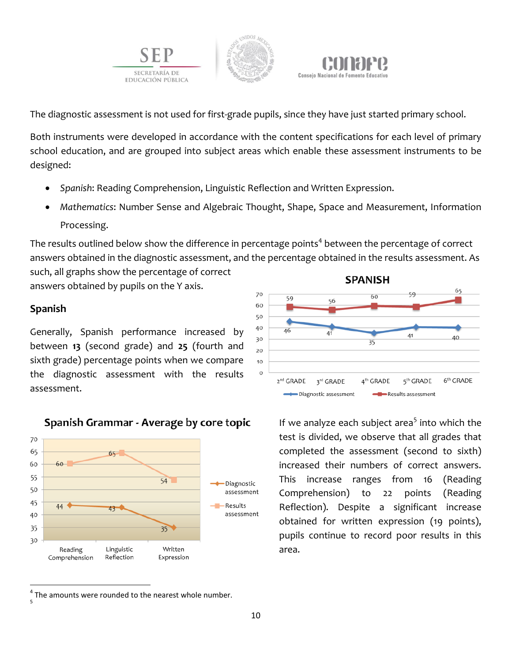





The diagnostic assessment is not used for first-grade pupils, since they have just started primary school.

Both instruments were developed in accordance with the content specifications for each level of primary school education, and are grouped into subject areas which enable these assessment instruments to be designed:

- *Spanish*: Reading Comprehension, Linguistic Reflection and Written Expression.
- *Mathematics*: Number Sense and Algebraic Thought, Shape, Space and Measurement, Information Processing.

The results outlined below show the difference in percentage points $^4$  between the percentage of correct answers obtained in the diagnostic assessment, and the percentage obtained in the results assessment. As such, all graphs show the percentage of correct

answers obtained by pupils on the Y axis.

### **Spanish**

Generally, Spanish performance increased by between **13** (second grade) and **25** (fourth and sixth grade) percentage points when we compare the diagnostic assessment with the results assessment.







If we analyze each subject area<sup>5</sup> into which the test is divided, we observe that all grades that completed the assessment (second to sixth) increased their numbers of correct answers. This increase ranges from 16 (Reading Comprehension) to 22 points (Reading Reflection). Despite a significant increase obtained for written expression (19 points), pupils continue to record poor results in this area.

 $\overline{a}$  $<sup>4</sup>$  The amounts were rounded to the nearest whole number.</sup> 5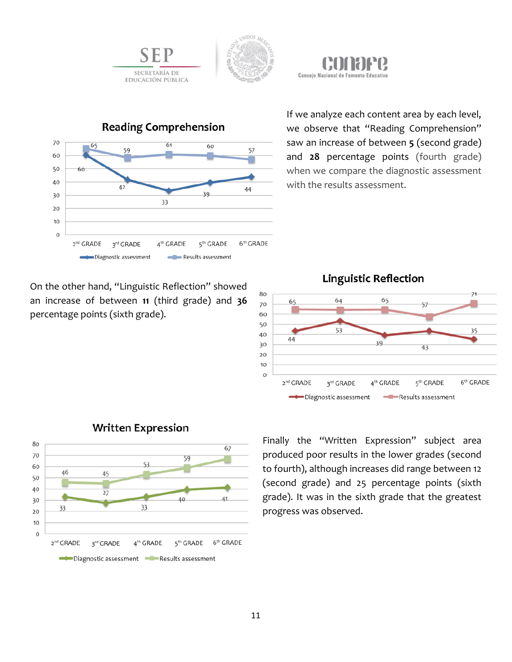





If we analyze each content area by each level, we observe that "Reading Comprehension" saw an increase of between **5** (second grade) and **28** percentage points (fourth grade) when we compare the diagnostic assessment with the results assessment.

On the other hand, "Linguistic Reflection" showed an increase of between **11** (third grade) and **36**  percentage points (sixth grade).





### **Written Expression**

Finally the "Written Expression" subject area produced poor results in the lower grades (second to fourth), although increases did range between 12 (second grade) and 25 percentage points (sixth grade). It was in the sixth grade that the greatest progress was observed.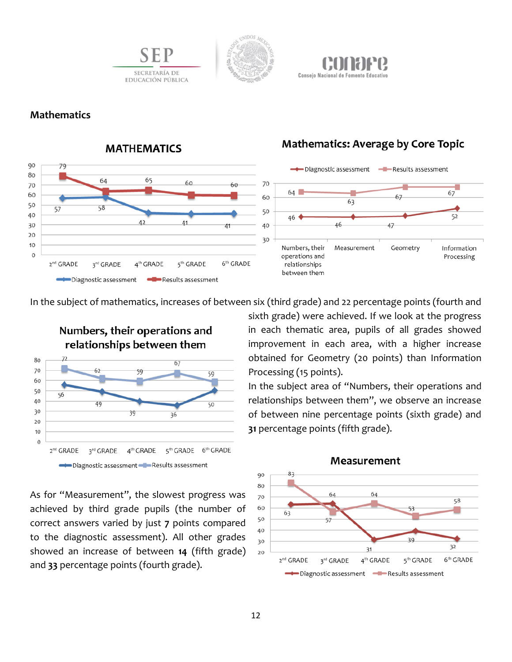



#### **Mathematics**



### **MATHEMATICS**

SECRETARÍA DE

EDUCACIÓN PÚBLICA

### **Mathematics: Average by Core Topic**

In the subject of mathematics, increases of between six (third grade) and 22 percentage points (fourth and



As for "Measurement", the slowest progress was achieved by third grade pupils (the number of correct answers varied by just **7** points compared to the diagnostic assessment). All other grades showed an increase of between **14** (fifth grade) and **33** percentage points (fourth grade).

sixth grade) were achieved. If we look at the progress in each thematic area, pupils of all grades showed improvement in each area, with a higher increase obtained for Geometry (20 points) than Information Processing (15 points).

In the subject area of "Numbers, their operations and relationships between them", we observe an increase of between nine percentage points (sixth grade) and **31** percentage points (fifth grade).



#### Measurement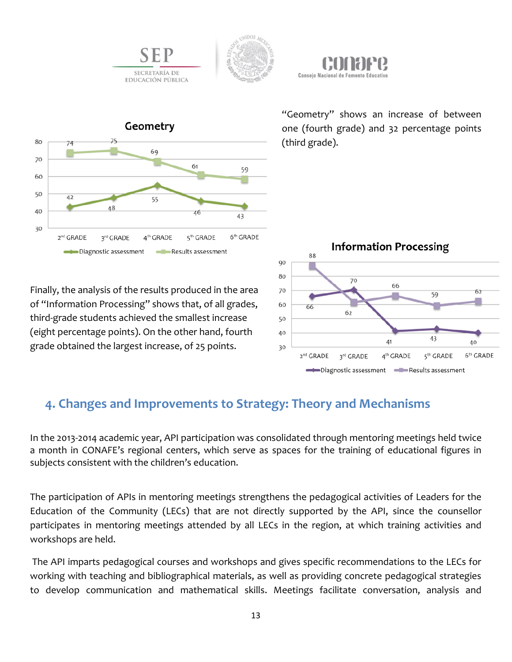







"Geometry" shows an increase of between one (fourth grade) and 32 percentage points (third grade).

Finally, the analysis of the results produced in the area of "Information Processing" shows that, of all grades, third-grade students achieved the smallest increase (eight percentage points). On the other hand, fourth grade obtained the largest increase, of 25 points.



### **4. Changes and Improvements to Strategy: Theory and Mechanisms**

In the 2013-2014 academic year, API participation was consolidated through mentoring meetings held twice a month in CONAFE's regional centers, which serve as spaces for the training of educational figures in subjects consistent with the children's education.

The participation of APIs in mentoring meetings strengthens the pedagogical activities of Leaders for the Education of the Community (LECs) that are not directly supported by the API, since the counsellor participates in mentoring meetings attended by all LECs in the region, at which training activities and workshops are held.

The API imparts pedagogical courses and workshops and gives specific recommendations to the LECs for working with teaching and bibliographical materials, as well as providing concrete pedagogical strategies to develop communication and mathematical skills. Meetings facilitate conversation, analysis and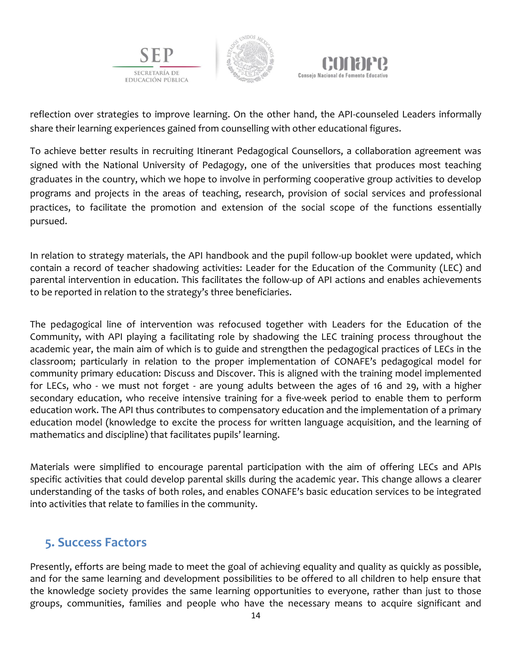





reflection over strategies to improve learning. On the other hand, the API-counseled Leaders informally share their learning experiences gained from counselling with other educational figures.

To achieve better results in recruiting Itinerant Pedagogical Counsellors, a collaboration agreement was signed with the National University of Pedagogy, one of the universities that produces most teaching graduates in the country, which we hope to involve in performing cooperative group activities to develop programs and projects in the areas of teaching, research, provision of social services and professional practices, to facilitate the promotion and extension of the social scope of the functions essentially pursued.

In relation to strategy materials, the API handbook and the pupil follow-up booklet were updated, which contain a record of teacher shadowing activities: Leader for the Education of the Community (LEC) and parental intervention in education. This facilitates the follow-up of API actions and enables achievements to be reported in relation to the strategy's three beneficiaries.

The pedagogical line of intervention was refocused together with Leaders for the Education of the Community, with API playing a facilitating role by shadowing the LEC training process throughout the academic year, the main aim of which is to guide and strengthen the pedagogical practices of LECs in the classroom; particularly in relation to the proper implementation of CONAFE's pedagogical model for community primary education: Discuss and Discover. This is aligned with the training model implemented for LECs, who - we must not forget - are young adults between the ages of 16 and 29, with a higher secondary education, who receive intensive training for a five-week period to enable them to perform education work. The API thus contributes to compensatory education and the implementation of a primary education model (knowledge to excite the process for written language acquisition, and the learning of mathematics and discipline) that facilitates pupils' learning.

Materials were simplified to encourage parental participation with the aim of offering LECs and APIs specific activities that could develop parental skills during the academic year. This change allows a clearer understanding of the tasks of both roles, and enables CONAFE's basic education services to be integrated into activities that relate to families in the community.

### **5. Success Factors**

Presently, efforts are being made to meet the goal of achieving equality and quality as quickly as possible, and for the same learning and development possibilities to be offered to all children to help ensure that the knowledge society provides the same learning opportunities to everyone, rather than just to those groups, communities, families and people who have the necessary means to acquire significant and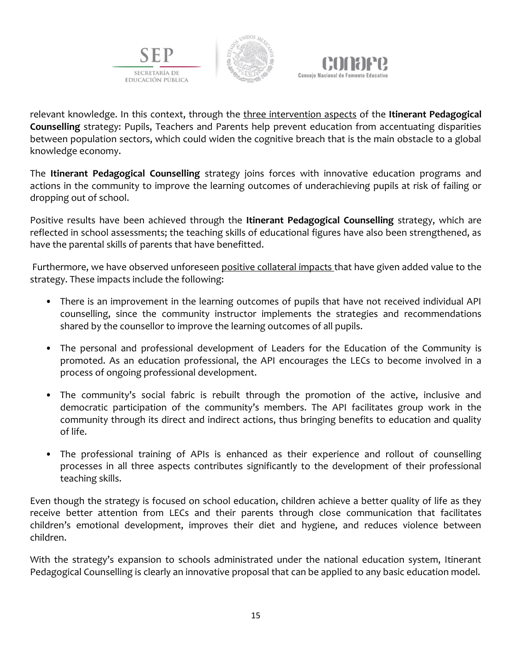





relevant knowledge. In this context, through the three intervention aspects of the **Itinerant Pedagogical Counselling** strategy: Pupils, Teachers and Parents help prevent education from accentuating disparities between population sectors, which could widen the cognitive breach that is the main obstacle to a global knowledge economy.

The **Itinerant Pedagogical Counselling** strategy joins forces with innovative education programs and actions in the community to improve the learning outcomes of underachieving pupils at risk of failing or dropping out of school.

Positive results have been achieved through the **Itinerant Pedagogical Counselling** strategy, which are reflected in school assessments; the teaching skills of educational figures have also been strengthened, as have the parental skills of parents that have benefitted.

Furthermore, we have observed unforeseen positive collateral impacts that have given added value to the strategy. These impacts include the following:

- There is an improvement in the learning outcomes of pupils that have not received individual API counselling, since the community instructor implements the strategies and recommendations shared by the counsellor to improve the learning outcomes of all pupils.
- The personal and professional development of Leaders for the Education of the Community is promoted. As an education professional, the API encourages the LECs to become involved in a process of ongoing professional development.
- The community's social fabric is rebuilt through the promotion of the active, inclusive and democratic participation of the community's members. The API facilitates group work in the community through its direct and indirect actions, thus bringing benefits to education and quality of life.
- The professional training of APIs is enhanced as their experience and rollout of counselling processes in all three aspects contributes significantly to the development of their professional teaching skills.

Even though the strategy is focused on school education, children achieve a better quality of life as they receive better attention from LECs and their parents through close communication that facilitates children's emotional development, improves their diet and hygiene, and reduces violence between children.

With the strategy's expansion to schools administrated under the national education system, Itinerant Pedagogical Counselling is clearly an innovative proposal that can be applied to any basic education model.